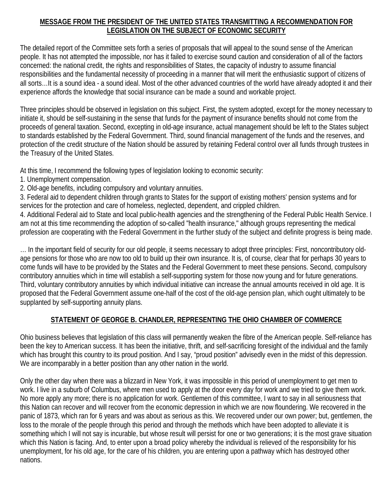## **MESSAGE FROM THE PRESIDENT OF THE UNITED STATES TRANSMITTING A RECOMMENDATION FOR LEGISLATION ON THE SUBJECT OF ECONOMIC SECURITY**

 people. It has not attempted the impossible, nor has it failed to exercise sound caution and consideration of all of the factors responsibilities and the fundamental necessity of proceeding in a manner that will merit the enthusiastic support of citizens of The detailed report of the Committee sets forth a series of proposals that will appeal to the sound sense of the American concerned: the national credit, the rights and responsibilities of States, the capacity of industry to assume financial all sorts…It is a sound idea - a sound ideal. Most of the other advanced countries of the world have already adopted it and their experience affords the knowledge that social insurance can be made a sound and workable project.

 Three principles should be observed in legislation on this subject. First, the system adopted, except for the money necessary to initiate it, should be self-sustaining in the sense that funds for the payment of insurance benefits should not come from the proceeds of general taxation. Second, excepting in old-age insurance, actual management should be left to the States subject to standards established by the Federal Government. Third, sound financial management of the funds and the reserves, and protection of the credit structure of the Nation should be assured by retaining Federal control over all funds through trustees in the Treasury of the United States.

At this time, I recommend the following types of legislation looking to economic security:

- 1. Unemployment compensation.
- 2. Old-age benefits, including compulsory and voluntary annuities.

3. Federal aid to dependent children through grants to States for the support of existing mothers' pension systems and for services for the protection and care of homeless, neglected, dependent, and crippled children.

 profession are cooperating with the Federal Government in the further study of the subject and definite progress is being made. 4. Additional Federal aid to State and local public-health agencies and the strengthening of the Federal Public Health Service. I am not at this time recommending the adoption of so-called "health insurance," although groups representing the medical

 age pensions for those who are now too old to build up their own insurance. It is, of course, clear that for perhaps 30 years to proposed that the Federal Government assume one-half of the cost of the old-age pension plan, which ought ultimately to be … In the important field of security for our old people, it seems necessary to adopt three principles: First, noncontributory oldcome funds will have to be provided by the States and the Federal Government to meet these pensions. Second, compulsory contributory annuities which in time will establish a self-supporting system for those now young and for future generations. Third, voluntary contributory annuities by which individual initiative can increase the annual amounts received in old age. It is supplanted by self-supporting annuity plans.

## **STATEMENT OF GEORGE B. CHANDLER, REPRESENTING THE OHIO CHAMBER OF COMMERCE**

 Ohio business believes that legislation of this class will permanently weaken the fibre of the American people. Self-reliance has been the key to American success. It has been the initiative, thrift, and self-sacrificing foresight of the individual and the family which has brought this country to its proud position. And I say, "proud position" advisedly even in the midst of this depression. We are incomparably in a better position than any other nation in the world.

 Only the other day when there was a blizzard in New York, it was impossible in this period of unemployment to get men to No more apply any more; there is no application for work. Gentlemen of this committee, I want to say in all seriousness that panic of 1873, which ran for 6 years and was about as serious as this. We recovered under our own power; but, gentlemen, the which this Nation is facing. And, to enter upon a broad policy whereby the individual is relieved of the responsibility for his work. I live in a suburb of Columbus, where men used to apply at the door every day for work and we tried to give them work. this Nation can recover and will recover from the economic depression in which we are now floundering. We recovered in the loss to the morale of the people through this period and through the methods which have been adopted to alleviate it is something which I will not say is incurable, but whose result will persist for one or two generations; it is the most grave situation unemployment, for his old age, for the care of his children, you are entering upon a pathway which has destroyed other nations.